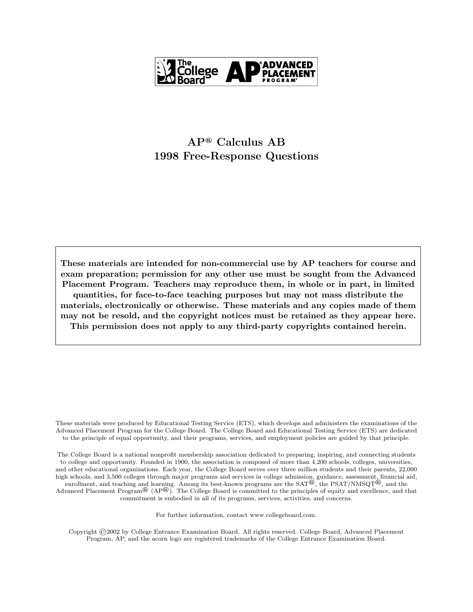

These materials are intended for non-commercial use by AP teachers for course and exam preparation; permission for any other use must be sought from the Advanced Placement Program. Teachers may reproduce them, in whole or in part, in limited quantities, for face-to-face teaching purposes but may not mass distribute the materials, electronically or otherwise. These materials and any copies made of them may not be resold, and the copyright notices must be retained as they appear here. This permission does not apply to any third-party copyrights contained herein.

These materials were produced by Educational Testing Service (ETS), which develops and administers the examinations of the Advanced Placement Program for the College Board. The College Board and Educational Testing Service (ETS) are dedicated to the principle of equal opportunity, and their programs, services, and employment policies are guided by that principle.

The College Board is a national nonprofit membership association dedicated to preparing, inspiring, and connecting students to college and opportunity. Founded in 1900, the association is composed of more than 4,200 schools, colleges, universities, and other educational organizations. Each year, the College Board serves over three million students and their parents, 22,000 high schools, and 3,500 colleges through major programs and services in college admission, guidance, assessment, financial aid, enrollment, and teaching and learning. Among its best-known programs are the SAT®, the PSAT/NMSQT®, and the Advanced Placement Program<sup>®</sup> (AP<sup>®</sup>). The College Board is committed to the principles of equity and excellence, and that commitment is embodied in all of its programs, services, activities, and concerns.

For further information, contact www.collegeboard.com.

Copyright ©2002 by College Entrance Examination Board. All rights reserved. College Board, Advanced Placement Program, AP, and the acorn logo are registered trademarks of the College Entrance Examination Board.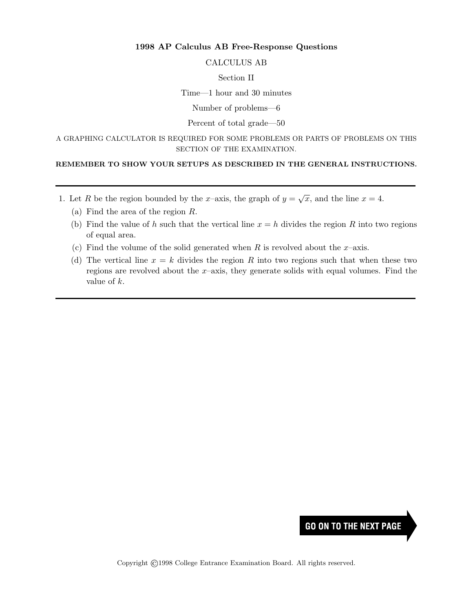#### CALCULUS AB

#### Section II

Time—1 hour and 30 minutes

Number of problems—6

# Percent of total grade—50

A GRAPHING CALCULATOR IS REQUIRED FOR SOME PROBLEMS OR PARTS OF PROBLEMS ON THIS SECTION OF THE EXAMINATION.

#### REMEMBER TO SHOW YOUR SETUPS AS DESCRIBED IN THE GENERAL INSTRUCTIONS.

- 1. Let R be the region bounded by the x-axis, the graph of  $y =$  $\overline{x}$ , and the line  $x = 4$ .
	- (a) Find the area of the region R.
	- (b) Find the value of h such that the vertical line  $x = h$  divides the region R into two regions of equal area.
	- (c) Find the volume of the solid generated when R is revolved about the  $x$ –axis.
	- (d) The vertical line  $x = k$  divides the region R into two regions such that when these two regions are revolved about the  $x$ –axis, they generate solids with equal volumes. Find the value of k.

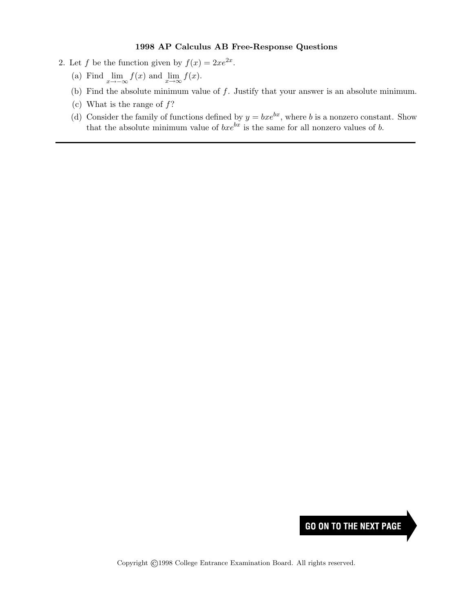- 2. Let f be the function given by  $f(x) = 2xe^{2x}$ .
	- (a) Find  $\lim_{x \to -\infty} f(x)$  and  $\lim_{x \to \infty} f(x)$ .
	- (b) Find the absolute minimum value of  $f$ . Justify that your answer is an absolute minimum.
	- (c) What is the range of  $f$ ?
	- (d) Consider the family of functions defined by  $y = bxe^{bx}$ , where b is a nonzero constant. Show that the absolute minimum value of  $bxe^{bx}$  is the same for all nonzero values of b.

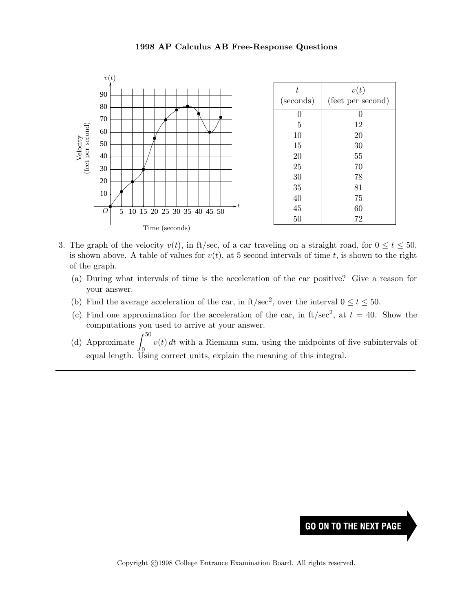

- 3. The graph of the velocity  $v(t)$ , in ft/sec, of a car traveling on a straight road, for  $0 \le t \le 50$ , is shown above. A table of values for  $v(t)$ , at 5 second intervals of time t, is shown to the right of the graph.
	- (a) During what intervals of time is the acceleration of the car positive? Give a reason for your answer.
	- (b) Find the average acceleration of the car, in ft/sec<sup>2</sup>, over the interval  $0 \le t \le 50$ .
	- (c) Find one approximation for the acceleration of the car, in  $ft/sec^2$ , at  $t = 40$ . Show the computations you used to arrive at your answer.
	- (d) Approximate  $\int^{50}$  $\overline{0}$  $v(t) dt$  with a Riemann sum, using the midpoints of five subintervals of equal length. Using correct units, explain the meaning of this integral.

# **GO ON TO THE NEXT PAGE**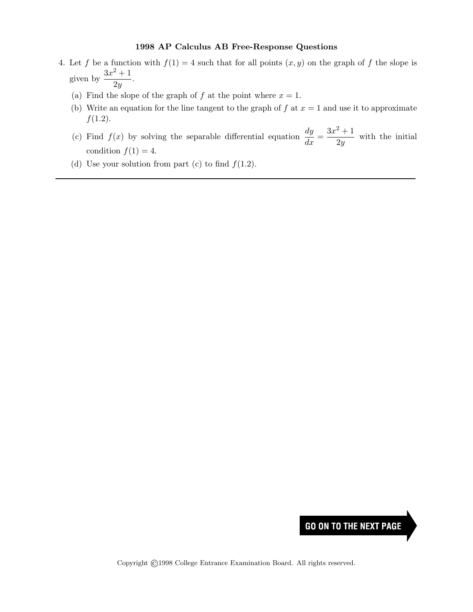- 4. Let f be a function with  $f(1) = 4$  such that for all points  $(x, y)$  on the graph of f the slope is given by  $\frac{3x^2+1}{2}$  $\frac{1}{2y}$ .
	- (a) Find the slope of the graph of f at the point where  $x = 1$ .
	- (b) Write an equation for the line tangent to the graph of f at  $x = 1$  and use it to approximate  $f(1.2)$ .
	- (c) Find  $f(x)$  by solving the separable differential equation  $\frac{dy}{dx} = \frac{3x^2 + 1}{2y}$  $\frac{1}{2y}$  with the initial condition  $f(1) = 4$ .
	- (d) Use your solution from part (c) to find  $f(1.2)$ .

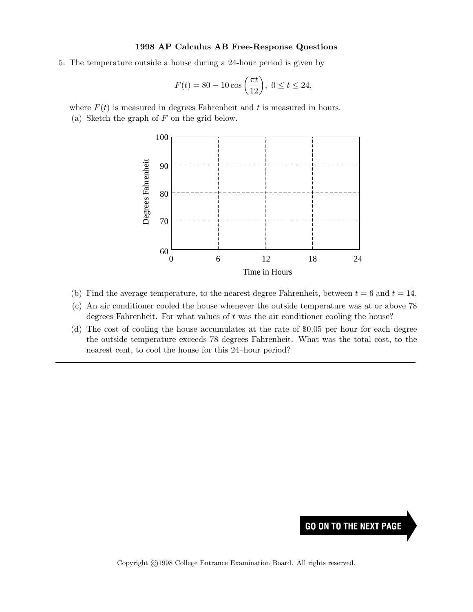5. The temperature outside a house during a 24-hour period is given by

$$
F(t) = 80 - 10 \cos\left(\frac{\pi t}{12}\right), \ 0 \le t \le 24,
$$

where  $F(t)$  is measured in degrees Fahrenheit and t is measured in hours. (a) Sketch the graph of  $F$  on the grid below.



- (b) Find the average temperature, to the nearest degree Fahrenheit, between  $t = 6$  and  $t = 14$ .
- (c) An air conditioner cooled the house whenever the outside temperature was at or above 78 degrees Fahrenheit. For what values of  $t$  was the air conditioner cooling the house?
- (d) The cost of cooling the house accumulates at the rate of \$0.05 per hour for each degree the outside temperature exceeds 78 degrees Fahrenheit. What was the total cost, to the nearest cent, to cool the house for this 24–hour period?

# **GO ON TO THE NEXT PAGE**